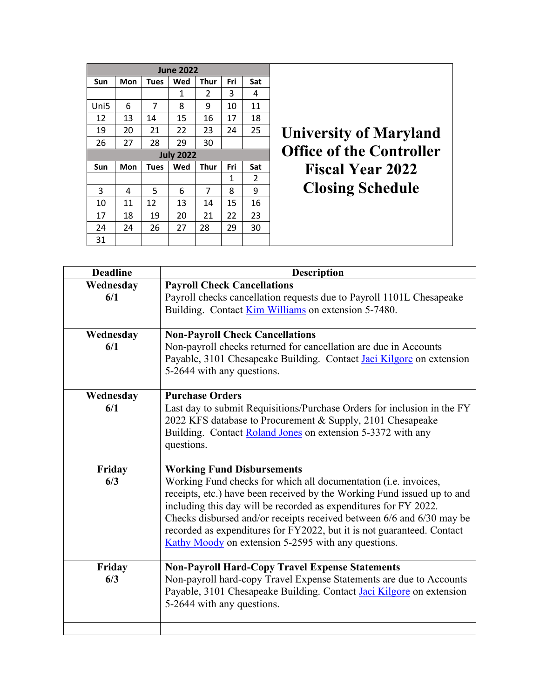|                  |            |             | <b>June 2022</b> |             |     |                                 |                               |
|------------------|------------|-------------|------------------|-------------|-----|---------------------------------|-------------------------------|
| <b>Sun</b>       | Mon        | <b>Tues</b> | Wed              | Thur        | Fri | Sat                             |                               |
|                  |            |             | 1                | 2           | 3   | 4                               |                               |
| Uni <sub>5</sub> | 6          | 7           | 8                | 9           | 10  | 11                              |                               |
| 12               | 13         | 14          | 15               | 16          | 17  | 18                              |                               |
| 19               | 20         | 21          | 22               | 23          | 24  | 25                              | <b>University of Maryland</b> |
| 26               | 27         | 28          | 29               | 30          |     |                                 |                               |
|                  |            |             | <b>July 2022</b> |             |     | <b>Office of the Controller</b> |                               |
| Sun              | <b>Mon</b> | <b>Tues</b> | Wed              | <b>Thur</b> | Fri | Sat                             | <b>Fiscal Year 2022</b>       |
|                  |            |             |                  |             | 1   | $\overline{2}$                  |                               |
| 3                | 4          | 5           | 6                | 7           | 8   | 9                               | <b>Closing Schedule</b>       |
| 10               | 11         | 12          | 13               | 14          | 15  | 16                              |                               |
| 17               | 18         | 19          | 20               | 21          | 22  | 23                              |                               |
| 24               | 24         | 26          | 27               | 28          | 29  | 30                              |                               |
| 31               |            |             |                  |             |     |                                 |                               |

| <b>Deadline</b> | <b>Description</b>                                                          |
|-----------------|-----------------------------------------------------------------------------|
| Wednesday       | <b>Payroll Check Cancellations</b>                                          |
| 6/1             | Payroll checks cancellation requests due to Payroll 1101L Chesapeake        |
|                 | Building. Contact Kim Williams on extension 5-7480.                         |
|                 |                                                                             |
| Wednesday       | <b>Non-Payroll Check Cancellations</b>                                      |
| 6/1             | Non-payroll checks returned for cancellation are due in Accounts            |
|                 | Payable, 3101 Chesapeake Building. Contact <i>Jaci Kilgore</i> on extension |
|                 | 5-2644 with any questions.                                                  |
|                 |                                                                             |
| Wednesday       | <b>Purchase Orders</b>                                                      |
| 6/1             | Last day to submit Requisitions/Purchase Orders for inclusion in the FY     |
|                 | 2022 KFS database to Procurement & Supply, 2101 Chesapeake                  |
|                 | Building. Contact Roland Jones on extension 5-3372 with any                 |
|                 | questions.                                                                  |
|                 | <b>Working Fund Disbursements</b>                                           |
| Friday<br>6/3   | Working Fund checks for which all documentation (i.e. invoices,             |
|                 | receipts, etc.) have been received by the Working Fund issued up to and     |
|                 | including this day will be recorded as expenditures for FY 2022.            |
|                 | Checks disbursed and/or receipts received between 6/6 and 6/30 may be       |
|                 | recorded as expenditures for FY2022, but it is not guaranteed. Contact      |
|                 | Kathy Moody on extension 5-2595 with any questions.                         |
|                 |                                                                             |
| Friday          | <b>Non-Payroll Hard-Copy Travel Expense Statements</b>                      |
| 6/3             | Non-payroll hard-copy Travel Expense Statements are due to Accounts         |
|                 | Payable, 3101 Chesapeake Building. Contact Jaci Kilgore on extension        |
|                 | 5-2644 with any questions.                                                  |
|                 |                                                                             |
|                 |                                                                             |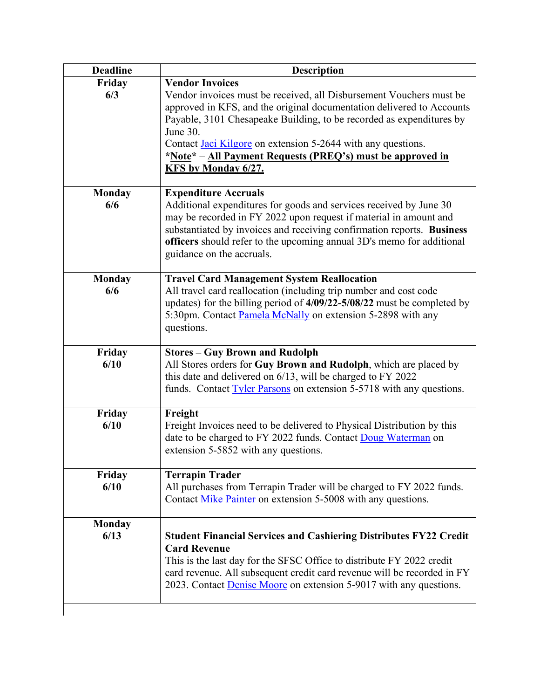| <b>Description</b>                                                                                                                                                                                                                                                                                                                                     |
|--------------------------------------------------------------------------------------------------------------------------------------------------------------------------------------------------------------------------------------------------------------------------------------------------------------------------------------------------------|
| <b>Vendor Invoices</b>                                                                                                                                                                                                                                                                                                                                 |
| Vendor invoices must be received, all Disbursement Vouchers must be<br>approved in KFS, and the original documentation delivered to Accounts<br>Payable, 3101 Chesapeake Building, to be recorded as expenditures by<br>June 30.                                                                                                                       |
| Contact Jaci Kilgore on extension 5-2644 with any questions.<br>*Note* – All Payment Requests (PREQ's) must be approved in<br>KFS by Monday 6/27.                                                                                                                                                                                                      |
| <b>Expenditure Accruals</b><br>Additional expenditures for goods and services received by June 30<br>may be recorded in FY 2022 upon request if material in amount and<br>substantiated by invoices and receiving confirmation reports. Business<br>officers should refer to the upcoming annual 3D's memo for additional<br>guidance on the accruals. |
| <b>Travel Card Management System Reallocation</b><br>All travel card reallocation (including trip number and cost code<br>updates) for the billing period of 4/09/22-5/08/22 must be completed by<br>5:30pm. Contact Pamela McNally on extension 5-2898 with any<br>questions.                                                                         |
| <b>Stores - Guy Brown and Rudolph</b><br>All Stores orders for Guy Brown and Rudolph, which are placed by<br>this date and delivered on 6/13, will be charged to FY 2022<br>funds. Contact Tyler Parsons on extension 5-5718 with any questions.                                                                                                       |
| Freight<br>Freight Invoices need to be delivered to Physical Distribution by this<br>date to be charged to FY 2022 funds. Contact Doug Waterman on<br>extension 5-5852 with any questions.                                                                                                                                                             |
| <b>Terrapin Trader</b><br>All purchases from Terrapin Trader will be charged to FY 2022 funds.<br>Contact Mike Painter on extension 5-5008 with any questions.                                                                                                                                                                                         |
| <b>Student Financial Services and Cashiering Distributes FY22 Credit</b><br><b>Card Revenue</b><br>This is the last day for the SFSC Office to distribute FY 2022 credit                                                                                                                                                                               |
|                                                                                                                                                                                                                                                                                                                                                        |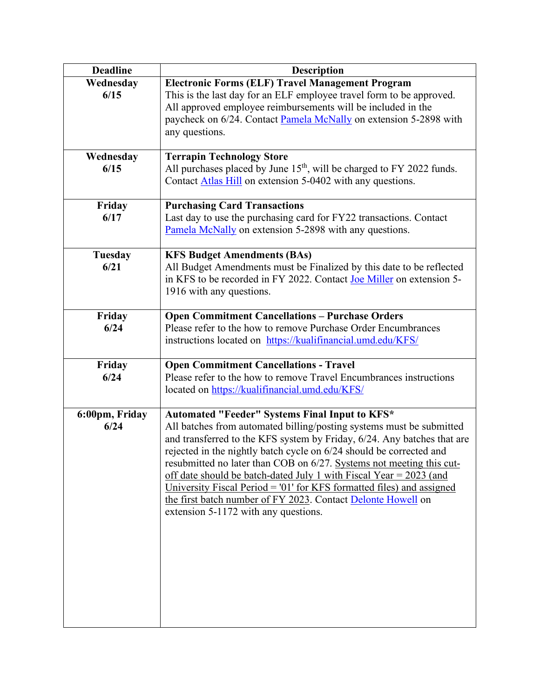| <b>Deadline</b> | <b>Description</b>                                                                                                                              |
|-----------------|-------------------------------------------------------------------------------------------------------------------------------------------------|
| Wednesday       | <b>Electronic Forms (ELF) Travel Management Program</b>                                                                                         |
| 6/15            | This is the last day for an ELF employee travel form to be approved.                                                                            |
|                 | All approved employee reimbursements will be included in the<br>paycheck on 6/24. Contact Pamela McNally on extension 5-2898 with               |
|                 | any questions.                                                                                                                                  |
|                 |                                                                                                                                                 |
| Wednesday       | <b>Terrapin Technology Store</b>                                                                                                                |
| 6/15            | All purchases placed by June $15th$ , will be charged to FY 2022 funds.                                                                         |
|                 | Contact Atlas Hill on extension 5-0402 with any questions.                                                                                      |
| Friday          | <b>Purchasing Card Transactions</b>                                                                                                             |
| 6/17            | Last day to use the purchasing card for FY22 transactions. Contact                                                                              |
|                 | Pamela McNally on extension 5-2898 with any questions.                                                                                          |
| Tuesday         | <b>KFS Budget Amendments (BAs)</b>                                                                                                              |
| 6/21            | All Budget Amendments must be Finalized by this date to be reflected                                                                            |
|                 | in KFS to be recorded in FY 2022. Contact Joe Miller on extension 5-                                                                            |
|                 | 1916 with any questions.                                                                                                                        |
| Friday          | <b>Open Commitment Cancellations - Purchase Orders</b>                                                                                          |
| 6/24            | Please refer to the how to remove Purchase Order Encumbrances                                                                                   |
|                 | instructions located on https://kualifinancial.umd.edu/KFS/                                                                                     |
| Friday          | <b>Open Commitment Cancellations - Travel</b>                                                                                                   |
| 6/24            | Please refer to the how to remove Travel Encumbrances instructions                                                                              |
|                 | located on https://kualifinancial.umd.edu/KFS/                                                                                                  |
|                 |                                                                                                                                                 |
| 6:00pm, Friday  | Automated "Feeder" Systems Final Input to KFS*                                                                                                  |
| 6/24            | All batches from automated billing/posting systems must be submitted<br>and transferred to the KFS system by Friday, 6/24. Any batches that are |
|                 | rejected in the nightly batch cycle on 6/24 should be corrected and                                                                             |
|                 | resubmitted no later than COB on 6/27. Systems not meeting this cut-                                                                            |
|                 | off date should be batch-dated July 1 with Fiscal Year = $2023$ (and                                                                            |
|                 | University Fiscal Period = '01' for KFS formatted files) and assigned                                                                           |
|                 | the first batch number of FY 2023. Contact Delonte Howell on                                                                                    |
|                 | extension 5-1172 with any questions.                                                                                                            |
|                 |                                                                                                                                                 |
|                 |                                                                                                                                                 |
|                 |                                                                                                                                                 |
|                 |                                                                                                                                                 |
|                 |                                                                                                                                                 |
|                 |                                                                                                                                                 |
|                 |                                                                                                                                                 |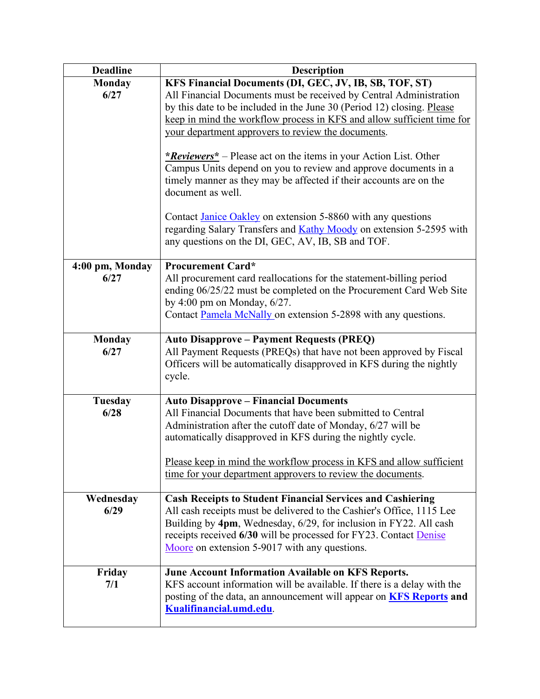| <b>Deadline</b>        | <b>Description</b>                                                                                                                                                                                                                                                           |
|------------------------|------------------------------------------------------------------------------------------------------------------------------------------------------------------------------------------------------------------------------------------------------------------------------|
| <b>Monday</b>          | KFS Financial Documents (DI, GEC, JV, IB, SB, TOF, ST)                                                                                                                                                                                                                       |
| 6/27                   | All Financial Documents must be received by Central Administration<br>by this date to be included in the June 30 (Period 12) closing. Please<br>keep in mind the workflow process in KFS and allow sufficient time for<br>your department approvers to review the documents. |
|                        | * <i>Reviewers</i> * – Please act on the items in your Action List. Other<br>Campus Units depend on you to review and approve documents in a<br>timely manner as they may be affected if their accounts are on the<br>document as well.                                      |
|                        | Contact Janice Oakley on extension 5-8860 with any questions<br>regarding Salary Transfers and <b>Kathy Moody</b> on extension 5-2595 with<br>any questions on the DI, GEC, AV, IB, SB and TOF.                                                                              |
| 4:00 pm, Monday        | <b>Procurement Card*</b>                                                                                                                                                                                                                                                     |
| 6/27                   | All procurement card reallocations for the statement-billing period<br>ending 06/25/22 must be completed on the Procurement Card Web Site<br>by 4:00 pm on Monday, $6/27$ .<br>Contact Pamela McNally on extension 5-2898 with any questions.                                |
| <b>Monday</b>          | <b>Auto Disapprove – Payment Requests (PREQ)</b>                                                                                                                                                                                                                             |
| 6/27                   | All Payment Requests (PREQs) that have not been approved by Fiscal<br>Officers will be automatically disapproved in KFS during the nightly<br>cycle.                                                                                                                         |
| <b>Tuesday</b><br>6/28 | <b>Auto Disapprove - Financial Documents</b><br>All Financial Documents that have been submitted to Central                                                                                                                                                                  |
|                        | Administration after the cutoff date of Monday, 6/27 will be<br>automatically disapproved in KFS during the nightly cycle.                                                                                                                                                   |
|                        | Please keep in mind the workflow process in KFS and allow sufficient<br>time for your department approvers to review the documents.                                                                                                                                          |
| Wednesday              | <b>Cash Receipts to Student Financial Services and Cashiering</b>                                                                                                                                                                                                            |
| 6/29                   | All cash receipts must be delivered to the Cashier's Office, 1115 Lee<br>Building by 4pm, Wednesday, 6/29, for inclusion in FY22. All cash<br>receipts received 6/30 will be processed for FY23. Contact Denise<br>Moore on extension 5-9017 with any questions.             |
| Friday                 | June Account Information Available on KFS Reports.                                                                                                                                                                                                                           |
| 7/1                    | KFS account information will be available. If there is a delay with the<br>posting of the data, an announcement will appear on <b>KFS Reports</b> and<br>Kualifinancial.umd.edu.                                                                                             |